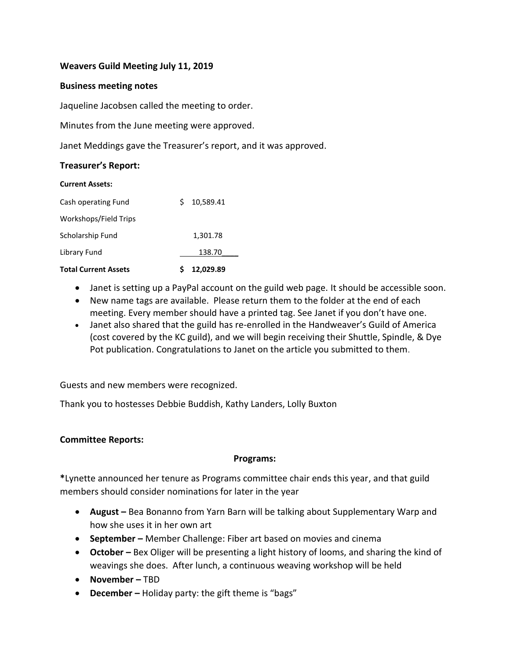### **Weavers Guild Meeting July 11, 2019**

### **Business meeting notes**

Jaqueline Jacobsen called the meeting to order.

Minutes from the June meeting were approved.

Janet Meddings gave the Treasurer's report, and it was approved.

#### **Treasurer's Report:**

| <b>Current Assets:</b>      |                 |  |
|-----------------------------|-----------------|--|
| Cash operating Fund         | 10,589.41<br>S. |  |
| Workshops/Field Trips       |                 |  |
| Scholarship Fund            | 1,301.78        |  |
| Library Fund                | 138.70          |  |
| <b>Total Current Assets</b> | 12,029.89       |  |

- Janet is setting up a PayPal account on the guild web page. It should be accessible soon.
- New name tags are available. Please return them to the folder at the end of each meeting. Every member should have a printed tag. See Janet if you don't have one.
- Janet also shared that the guild has re-enrolled in the Handweaver's Guild of America (cost covered by the KC guild), and we will begin receiving their Shuttle, Spindle, & Dye Pot publication. Congratulations to Janet on the article you submitted to them.

Guests and new members were recognized.

Thank you to hostesses Debbie Buddish, Kathy Landers, Lolly Buxton

### **Committee Reports:**

### **Programs:**

**\***Lynette announced her tenure as Programs committee chair ends this year, and that guild members should consider nominations for later in the year

- **August –** Bea Bonanno from Yarn Barn will be talking about Supplementary Warp and how she uses it in her own art
- **September –** Member Challenge: Fiber art based on movies and cinema
- **October –** Bex Oliger will be presenting a light history of looms, and sharing the kind of weavings she does. After lunch, a continuous weaving workshop will be held
- **November –** TBD
- **December –** Holiday party: the gift theme is "bags"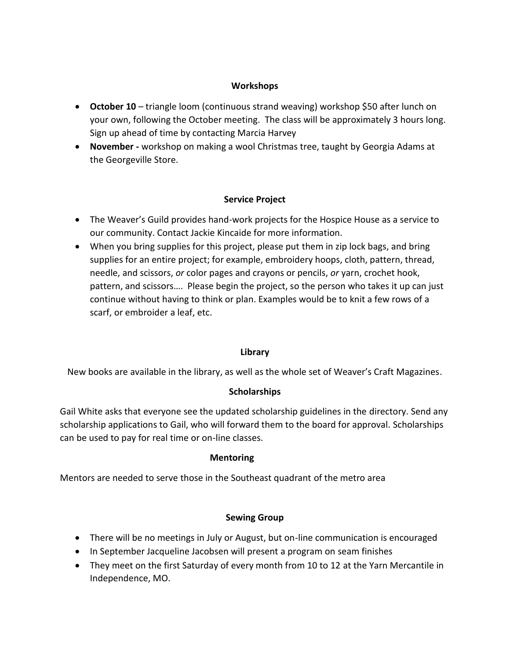### **Workshops**

- **October 10** triangle loom (continuous strand weaving) workshop \$50 after lunch on your own, following the October meeting. The class will be approximately 3 hours long. Sign up ahead of time by contacting Marcia Harvey
- **November -** workshop on making a wool Christmas tree, taught by Georgia Adams at the Georgeville Store.

# **Service Project**

- The Weaver's Guild provides hand-work projects for the Hospice House as a service to our community. Contact Jackie Kincaide for more information.
- When you bring supplies for this project, please put them in zip lock bags, and bring supplies for an entire project; for example, embroidery hoops, cloth, pattern, thread, needle, and scissors, *or* color pages and crayons or pencils, *or* yarn, crochet hook, pattern, and scissors…. Please begin the project, so the person who takes it up can just continue without having to think or plan. Examples would be to knit a few rows of a scarf, or embroider a leaf, etc.

# **Library**

New books are available in the library, as well as the whole set of Weaver's Craft Magazines.

# **Scholarships**

Gail White asks that everyone see the updated scholarship guidelines in the directory. Send any scholarship applications to Gail, who will forward them to the board for approval. Scholarships can be used to pay for real time or on-line classes.

# **Mentoring**

Mentors are needed to serve those in the Southeast quadrant of the metro area

# **Sewing Group**

- There will be no meetings in July or August, but on-line communication is encouraged
- In September Jacqueline Jacobsen will present a program on seam finishes
- They meet on the first Saturday of every month from 10 to 12 at the Yarn Mercantile in Independence, MO.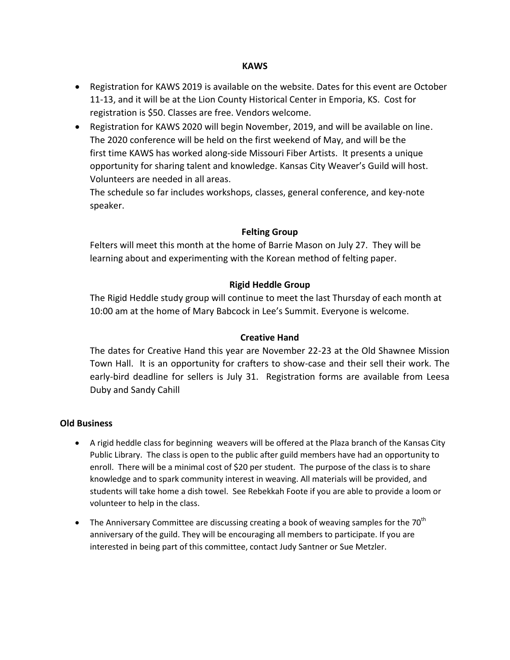#### **KAWS**

- Registration for KAWS 2019 is available on the website. Dates for this event are October 11-13, and it will be at the Lion County Historical Center in Emporia, KS. Cost for registration is \$50. Classes are free. Vendors welcome.
- Registration for KAWS 2020 will begin November, 2019, and will be available on line. The 2020 conference will be held on the first weekend of May, and will be the first time KAWS has worked along-side Missouri Fiber Artists. It presents a unique opportunity for sharing talent and knowledge. Kansas City Weaver's Guild will host. Volunteers are needed in all areas.

The schedule so far includes workshops, classes, general conference, and key-note speaker.

### **Felting Group**

Felters will meet this month at the home of Barrie Mason on July 27. They will be learning about and experimenting with the Korean method of felting paper.

### **Rigid Heddle Group**

The Rigid Heddle study group will continue to meet the last Thursday of each month at 10:00 am at the home of Mary Babcock in Lee's Summit. Everyone is welcome.

### **Creative Hand**

The dates for Creative Hand this year are November 22-23 at the Old Shawnee Mission Town Hall. It is an opportunity for crafters to show-case and their sell their work. The early-bird deadline for sellers is July 31. Registration forms are available from Leesa Duby and Sandy Cahill

### **Old Business**

- A rigid heddle class for beginning weavers will be offered at the Plaza branch of the Kansas City Public Library. The class is open to the public after guild members have had an opportunity to enroll. There will be a minimal cost of \$20 per student. The purpose of the class is to share knowledge and to spark community interest in weaving. All materials will be provided, and students will take home a dish towel. See Rebekkah Foote if you are able to provide a loom or volunteer to help in the class.
- The Anniversary Committee are discussing creating a book of weaving samples for the  $70<sup>th</sup>$ anniversary of the guild. They will be encouraging all members to participate. If you are interested in being part of this committee, contact Judy Santner or Sue Metzler.